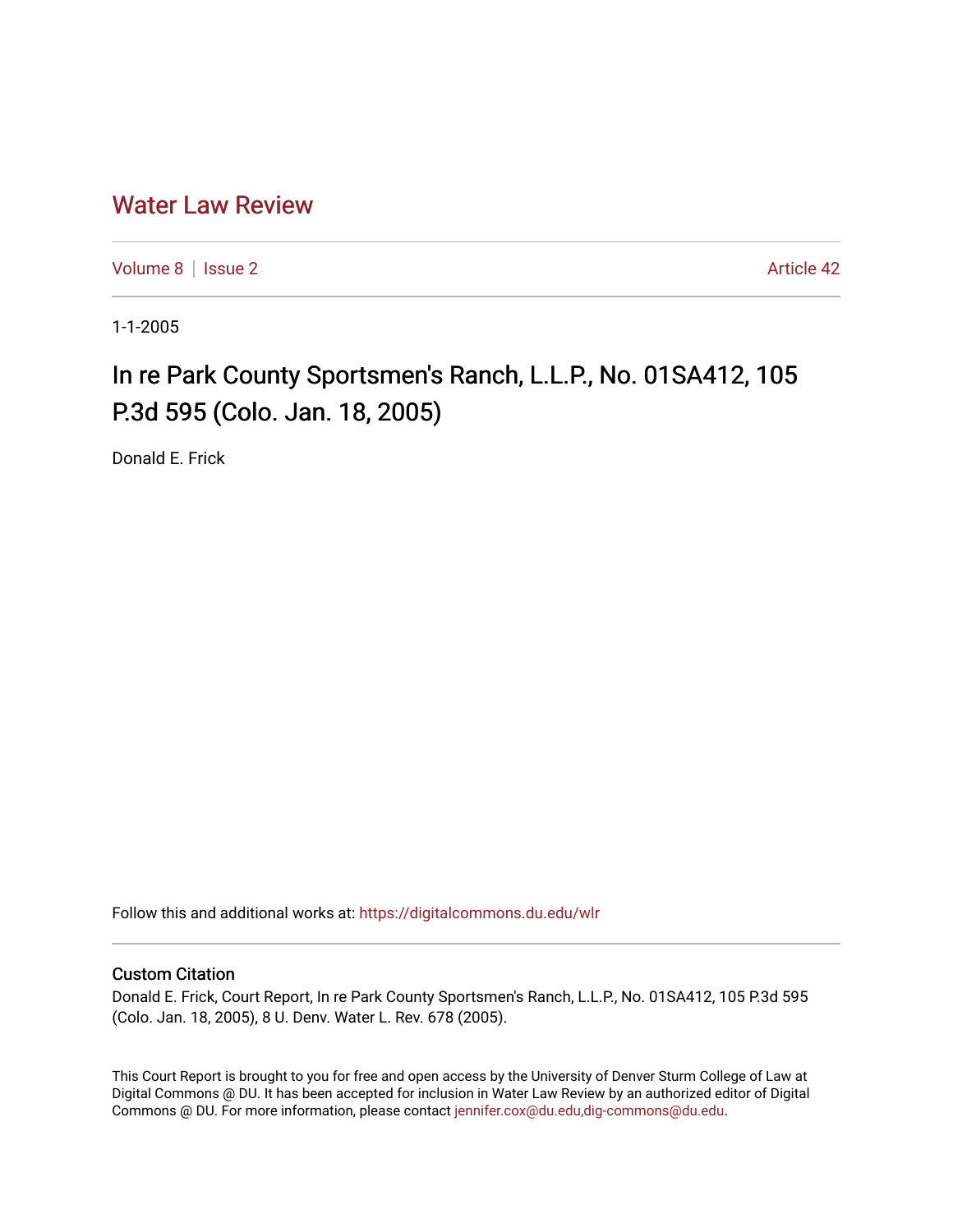## [Water Law Review](https://digitalcommons.du.edu/wlr)

[Volume 8](https://digitalcommons.du.edu/wlr/vol8) | [Issue 2](https://digitalcommons.du.edu/wlr/vol8/iss2) Article 42

1-1-2005

## In re Park County Sportsmen's Ranch, L.L.P., No. 01SA412, 105 P.3d 595 (Colo. Jan. 18, 2005)

Donald E. Frick

Follow this and additional works at: [https://digitalcommons.du.edu/wlr](https://digitalcommons.du.edu/wlr?utm_source=digitalcommons.du.edu%2Fwlr%2Fvol8%2Fiss2%2F42&utm_medium=PDF&utm_campaign=PDFCoverPages) 

## Custom Citation

Donald E. Frick, Court Report, In re Park County Sportsmen's Ranch, L.L.P., No. 01SA412, 105 P.3d 595 (Colo. Jan. 18, 2005), 8 U. Denv. Water L. Rev. 678 (2005).

This Court Report is brought to you for free and open access by the University of Denver Sturm College of Law at Digital Commons @ DU. It has been accepted for inclusion in Water Law Review by an authorized editor of Digital Commons @ DU. For more information, please contact [jennifer.cox@du.edu,dig-commons@du.edu.](mailto:jennifer.cox@du.edu,dig-commons@du.edu)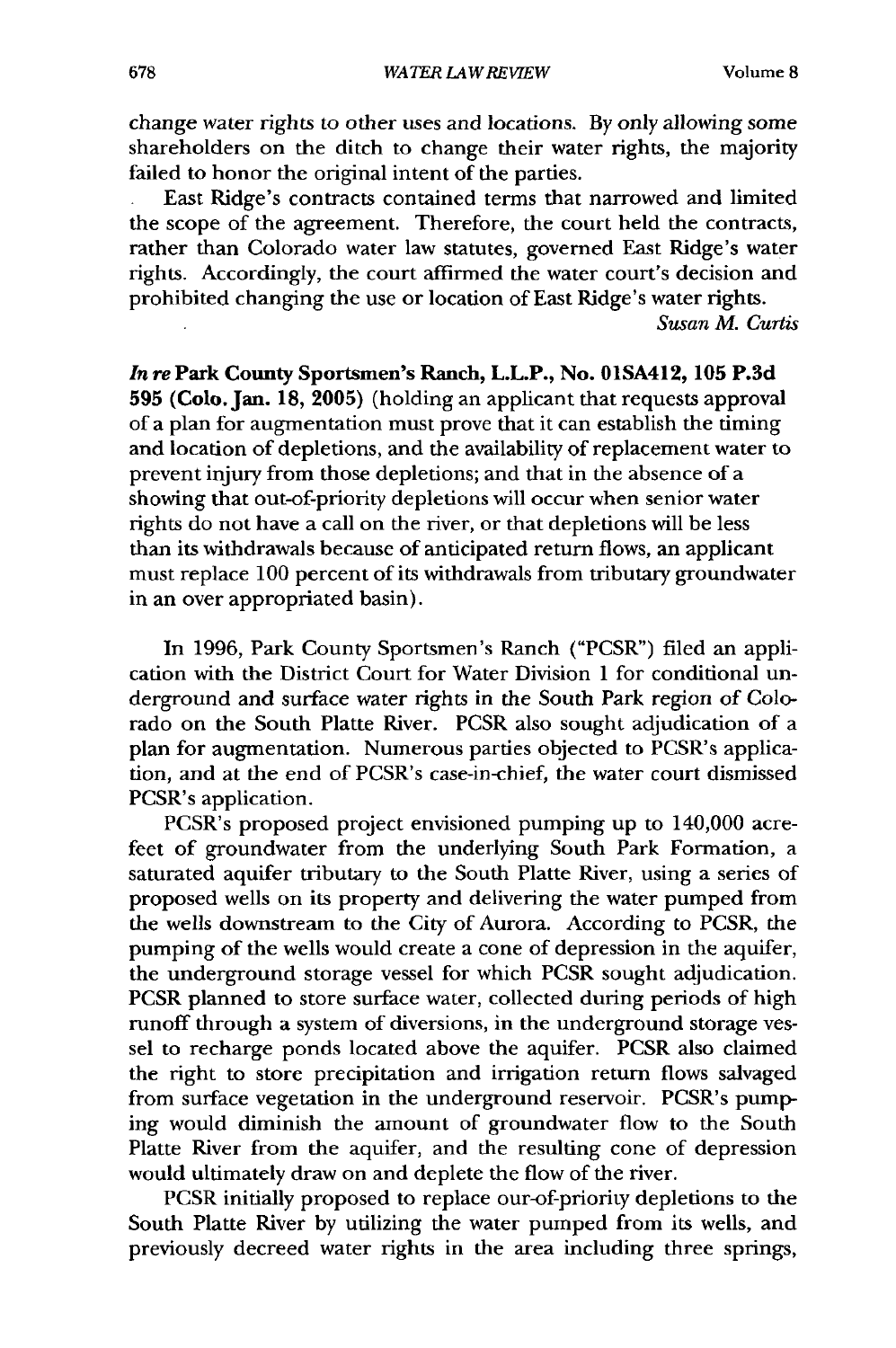change water rights to other uses and locations. **By** only allowing some shareholders on the ditch to change their water rights, the majority failed to honor the original intent of the parties.

East Ridge's contracts contained terms that narrowed and limited the scope of the agreement. Therefore, the court held the contracts, rather than Colorado water law statutes, governed East Ridge's water rights. Accordingly, the court affirmed the water court's decision and prohibited changing the use or location of East Ridge's water rights.

*Susan M. Curtis*

*In* rePark **County** Sportsmen's Ranch, L.L.P., No. **01SA412, 105 P.3d 595** (Colo. Jan. **18, 2005)** (holding an applicant that requests approval of a plan for augmentation must prove that it can establish the timing and location of depletions, and the availability of replacement water to prevent injury from those depletions; and that in the absence of a showing that out-of-priority depletions will occur when senior water rights do not have a call on the river, or that depletions will be less than its withdrawals because of anticipated return flows, an applicant must replace 100 percent of its withdrawals from tributary groundwater in an over appropriated basin).

In 1996, Park County Sportsmen's Ranch ("PCSR") filed an application with the District Court for Water Division 1 for conditional underground and surface water rights in the South Park region of Colorado on the South Platte River. PCSR also sought adjudication of a plan for augmentation. Numerous parties objected to PCSR's application, and at the end of PCSR's case-in-chief, the water court dismissed PCSR's application.

PCSR's proposed project envisioned pumping up to 140,000 acrefeet of groundwater from the underlying South Park Formation, a saturated aquifer tributary to the South Platte River, using a series of proposed wells on its property and delivering the water pumped from the wells downstream to the City of Aurora. According to PCSR, the pumping of the wells would create a cone of depression in the aquifer, the underground storage vessel for which PCSR sought adjudication. PCSR planned to store surface water, collected during periods of high runoff through a system of diversions, in the underground storage vessel to recharge ponds located above the aquifer. PCSR also claimed the right to store precipitation and irrigation return flows salvaged from surface vegetation in the underground reservoir. PCSR's pumping would diminish the amount of groundwater flow to the South Platte River from the aquifer, and the resulting cone of depression would ultimately draw on and deplete the flow of the river.

PCSR initially proposed to replace our-of-priority depletions to the South Platte River by utilizing the water pumped from its wells, and previously decreed water rights in the area including three springs,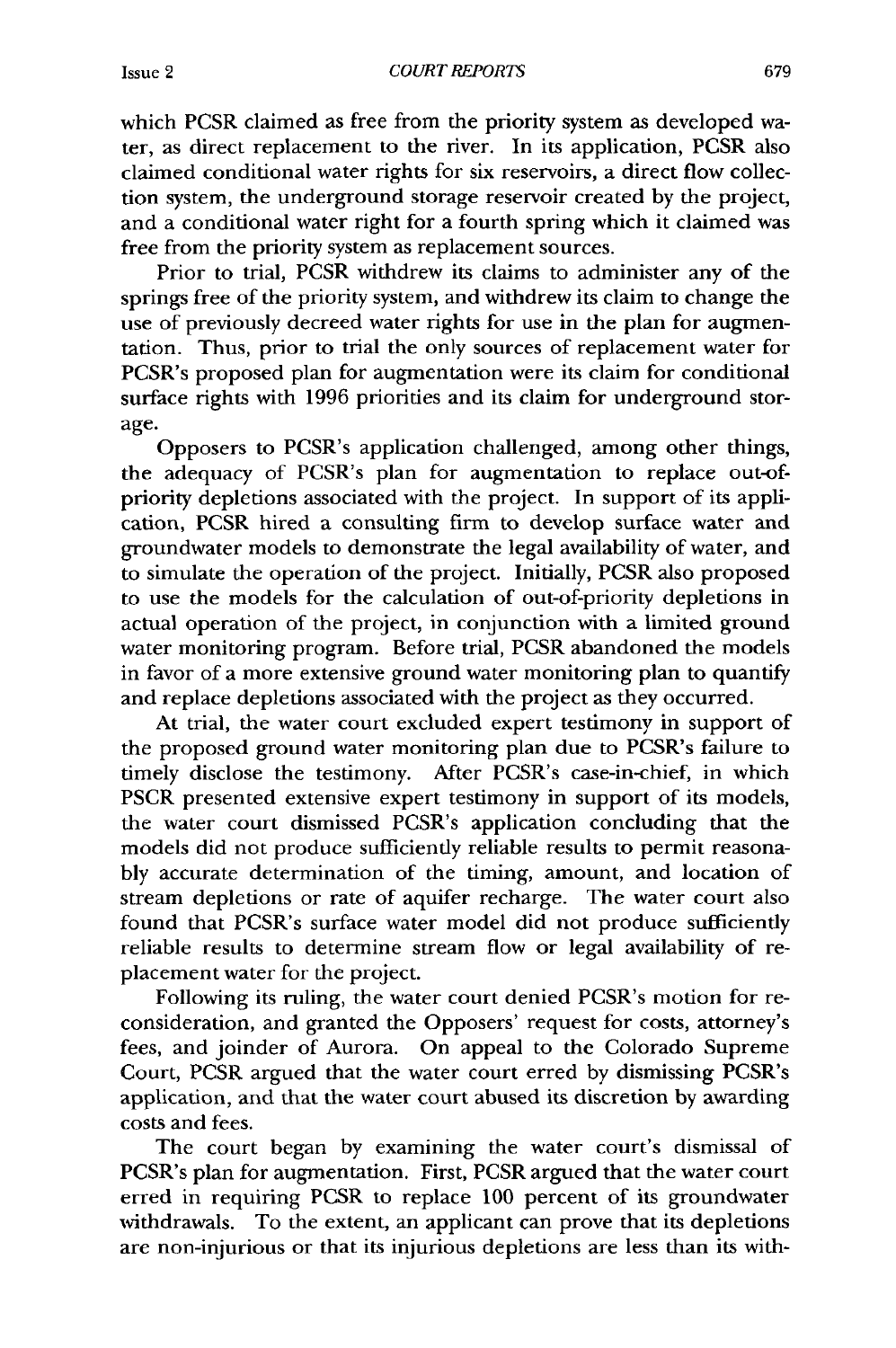Issue 2

which PCSR claimed as free from the priority system as developed water, as direct replacement to the river. In its application, PCSR also claimed conditional water rights for six reservoirs, a direct flow collection system, the underground storage reservoir created by the project, and a conditional water right for a fourth spring which it claimed was free from the priority system as replacement sources.

Prior to trial, PCSR withdrew its claims to administer any of the springs free of the priority system, and withdrew its claim to change the use of previously decreed water rights for use in the plan for augmentation. Thus, prior to trial the only sources of replacement water for PCSR's proposed plan for augmentation were its claim for conditional surface rights with 1996 priorities and its claim for underground storage.

Opposers to PCSR's application challenged, among other things, the adequacy of PCSR's plan for augmentation to replace out-ofpriority depletions associated with the project. In support of its application, PCSR hired a consulting firm to develop surface water and groundwater models to demonstrate the legal availability of water, and to simulate the operation of the project. Initially, PCSR also proposed to use the models for the calculation of out-of-priority depletions in actual operation of the project, in conjunction with a limited ground water monitoring program. Before trial, PCSR abandoned the models in favor of a more extensive ground water monitoring plan to quantify and replace depletions associated with the project as they occurred.

At trial, the water court excluded expert testimony in support of the proposed ground water monitoring plan due to PCSR's failure to timely disclose the testimony. After PCSR's case-in-chief, in which PSCR presented extensive expert testimony in support of its models, the water court dismissed PCSR's application concluding that the models did not produce sufficiendy reliable results to permit reasonably accurate determination of the timing, amount, and location of stream depletions or rate of aquifer recharge. The water court also found that PCSR's surface water model did not produce sufficiently reliable results to determine stream flow or legal availability of replacement water for the project.

Following its ruling, the water court denied PCSR's motion for reconsideration, and granted the Opposers' request for costs, attorney's fees, and joinder of Aurora. On appeal to the Colorado Supreme Court, PCSR argued that the water court erred by dismissing PCSR's application, and that the water court abused its discretion by awarding costs and fees.

The court began by examining the water court's dismissal of PCSR's plan for augmentation. First, PCSR argued that the water court erred in requiring PCSR to replace 100 percent of its groundwater withdrawals. To the extent, an applicant can prove that its depletions are non-injurious or that its injurious depletions are less than its with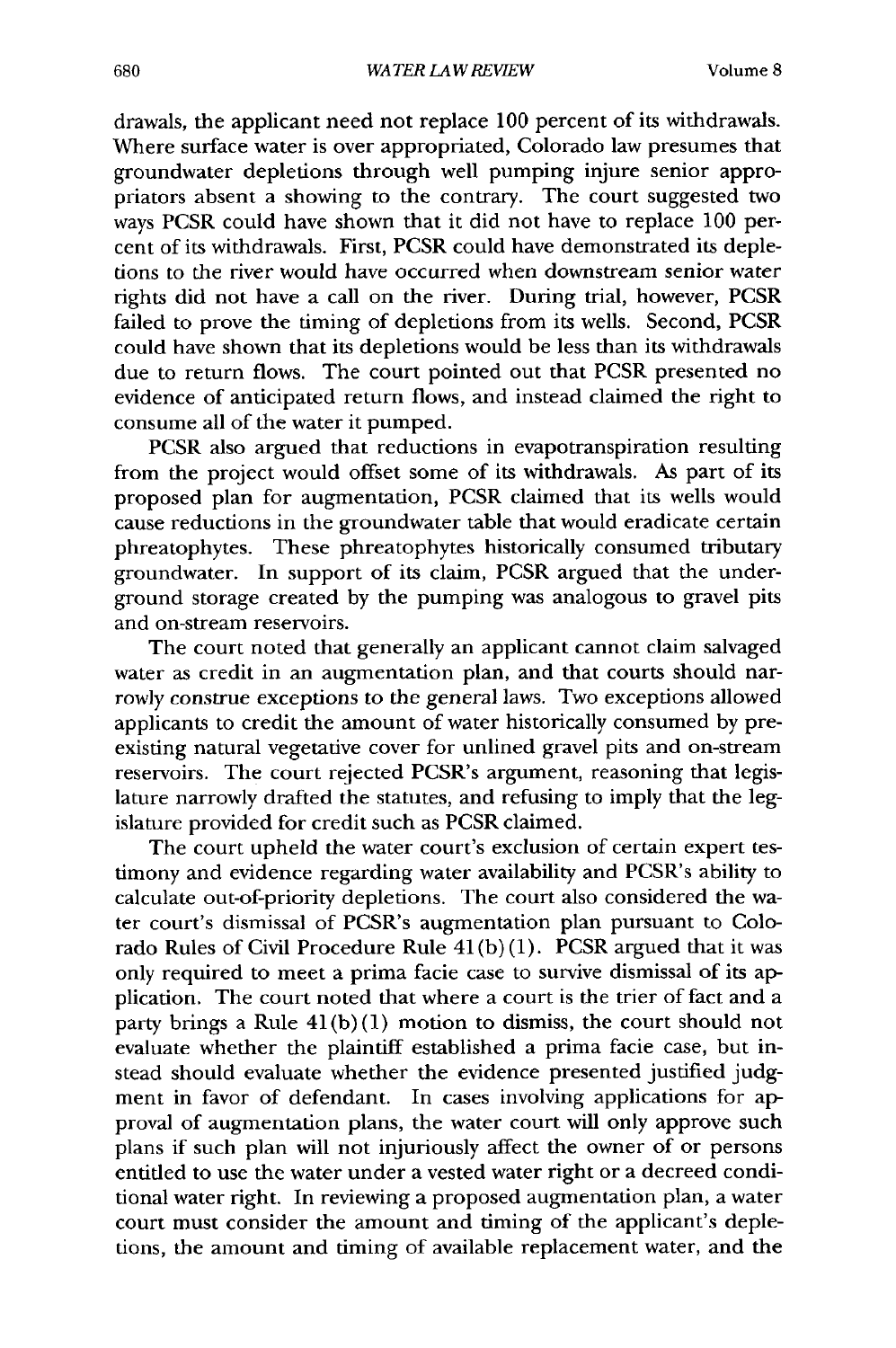drawals, the applicant need not replace 100 percent of its withdrawals. Where surface water is over appropriated, Colorado law presumes that groundwater depletions through well pumping injure senior appropriators absent a showing to the contrary. The court suggested two ways PCSR could have shown that it did not have to replace 100 percent of its withdrawals. First, PCSR could have demonstrated its depletions to the river would have occurred when downstream senior water rights did not have a call on the river. During trial, however, PCSR failed to prove the timing of depletions from its wells. Second, PCSR could have shown that its depletions would be less than its withdrawals due to return flows. The court pointed out that PCSR presented no evidence of anticipated return flows, and instead claimed the right to consume all of the water it pumped.

PCSR also argued that reductions in evapotranspiration resulting from the project would offset some of its withdrawals. As part of its proposed plan for augmentation, PCSR claimed that its wells would cause reductions in the groundwater table that would eradicate certain phreatophytes. These phreatophytes historically consumed tributary groundwater. In support of its claim, PCSR argued that the underground storage created by the pumping was analogous to gravel pits and on-stream reservoirs.

The court noted that generally an applicant cannot claim salvaged water as credit in an augmentation plan, and that courts should narrowly construe exceptions to the general laws. Two exceptions allowed applicants to credit the amount of water historically consumed by preexisting natural vegetative cover for unlined gravel pits and on-stream reservoirs. The court rejected PCSR's argument, reasoning that legislature narrowly drafted the statutes, and refusing to imply that the legislature provided for credit such as PCSR claimed.

The court upheld the water court's exclusion of certain expert testimony and evidence regarding water availability and PCSR's ability to calculate out-of-priority depletions. The court also considered the water court's dismissal of PCSR's augmentation plan pursuant to Colorado Rules of Civil Procedure Rule  $41(b)(1)$ . PCSR argued that it was only required to meet a prima facie case to survive dismissal of its application. The court noted that where a court is the trier of fact and a party brings a Rule  $41(b)(1)$  motion to dismiss, the court should not evaluate whether the plaintiff established a prima facie case, but instead should evaluate whether the evidence presented justified judgment in favor of defendant. In cases involving applications for approval of augmentation plans, the water court will only approve such plans if such plan will not injuriously affect the owner of or persons entitled to use the water under a vested water right or a decreed conditional water right. In reviewing a proposed augmentation plan, a water court must consider the amount and timing of the applicant's depletions, the amount and timing of available replacement water, and the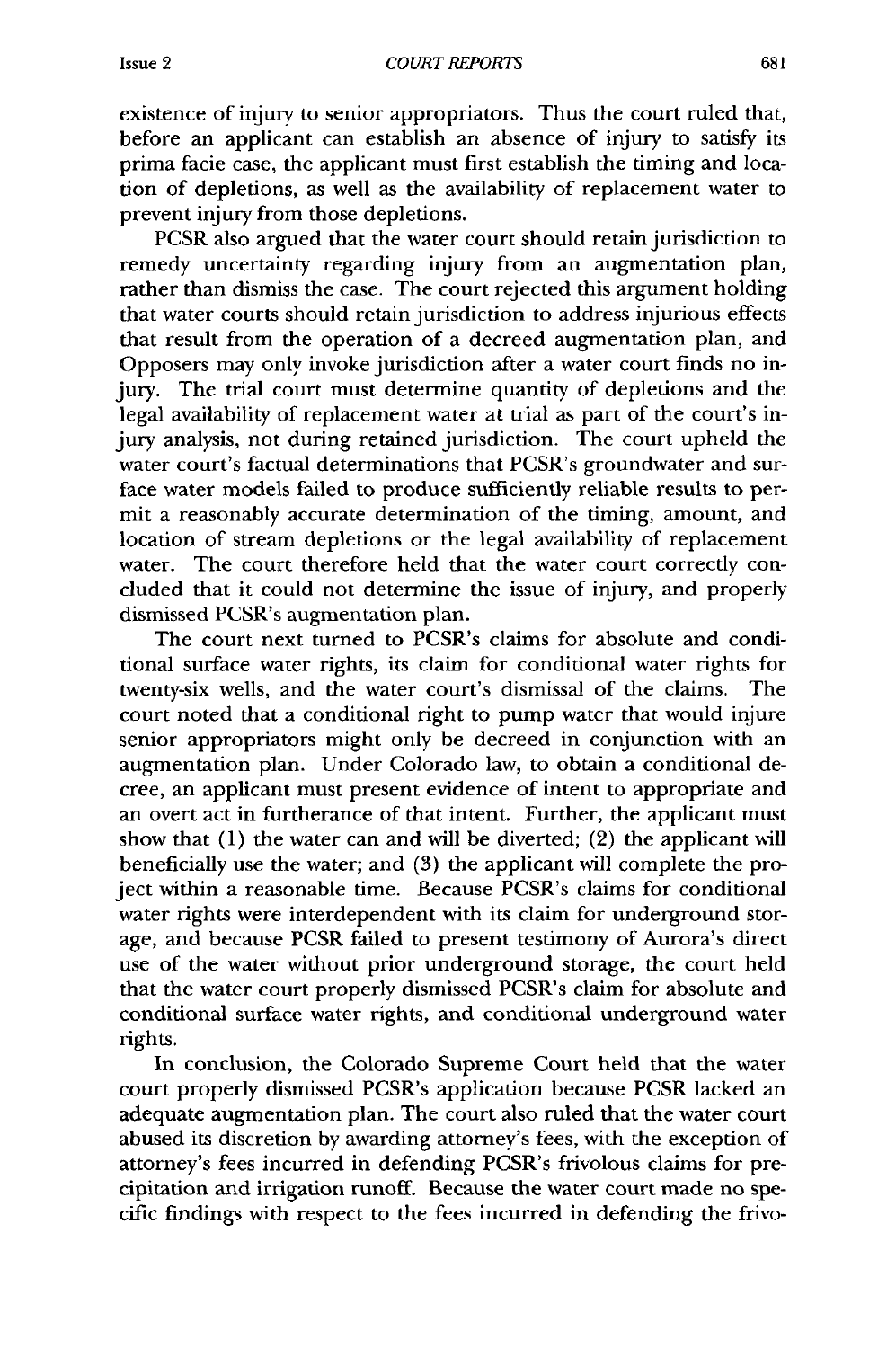existence of injury to senior appropriators. Thus the court ruled that, before an applicant can establish an absence of injury to satisfy its prima facie case, the applicant must first establish the timing and location of depletions, as well as the availability of replacement water to prevent injury from those depletions.

PCSR also argued that the water court should retain jurisdiction to remedy uncertainty regarding injury from an augmentation plan, rather than dismiss the case. The court rejected this argument holding that water courts should retain jurisdiction to address injurious effects that result from the operation of a decreed augmentation plan, and Opposers may only invoke jurisdiction after a water court finds no injury. The trial court must determine quantity of depletions and the legal availability of replacement water at trial as part of the court's injury analysis, not during retained jurisdiction. The court upheld the water court's factual determinations that PCSR's groundwater and surface water models failed to produce sufficiently reliable results to permit a reasonably accurate determination of the timing, amount, and location of stream depletions or the legal availability of replacement water. The court therefore held that the water court correctly concluded that it could not determine the issue of injury, and properly dismissed PCSR's augmentation plan.

The court next turned to PCSR's claims for absolute and conditional surface water rights, its claim for conditional water rights for twenty-six wells, and the water court's dismissal of the claims. The court noted that a conditional right to pump water that would injure senior appropriators might only be decreed in conjunction with an augmentation plan. Under Colorado law, to obtain a conditional decree, an applicant must present evidence of intent to appropriate and an overt act in furtherance of that intent. Further, the applicant must show that (1) the water can and will be diverted; (2) the applicant will beneficially use the water; and (3) the applicant will complete the project within a reasonable time. Because PCSR's claims for conditional water rights were interdependent with its claim for underground storage, and because PCSR failed to present testimony of Aurora's direct use of the water without prior underground storage, the court held that the water court properly dismissed PCSR's claim for absolute and conditional surface water rights, and conditional underground water rights.

In conclusion, the Colorado Supreme Court held that the water court properly dismissed PCSR's application because PCSR lacked an adequate augmentation plan. The court also ruled that the water court abused its discretion by awarding attorney's fees, with the exception of attorney's fees incurred in defending PCSR's frivolous claims for precipitation and irrigation runoff. Because the water court made no specific findings with respect to the fees incurred in defending the frivo